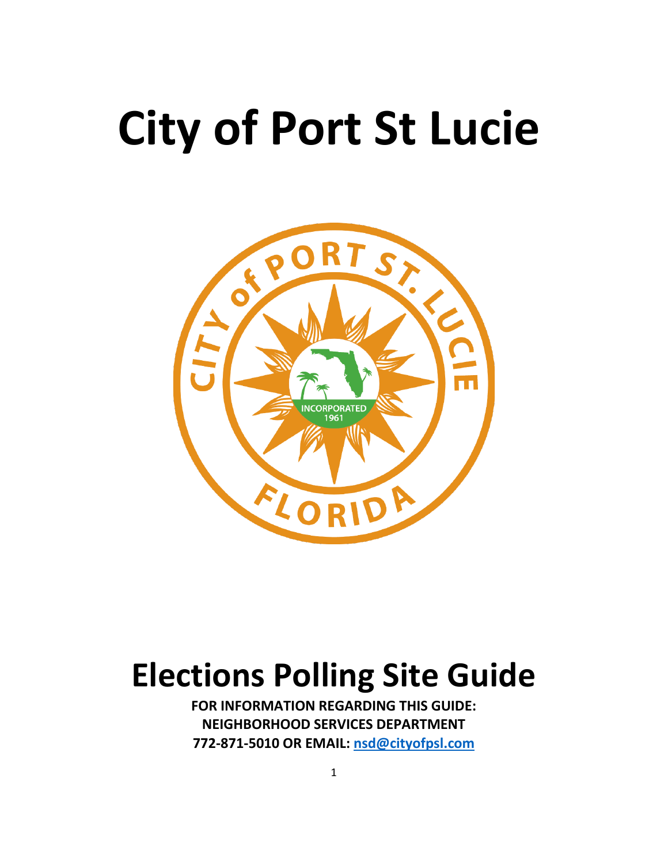# **City of Port St Lucie**



# **Elections Polling Site Guide**

**FOR INFORMATION REGARDING THIS GUIDE: NEIGHBORHOOD SERVICES DEPARTMENT 772-871-5010 OR EMAIL: [nsd@cityofpsl.com](mailto:nsd@cityofpsl.com)**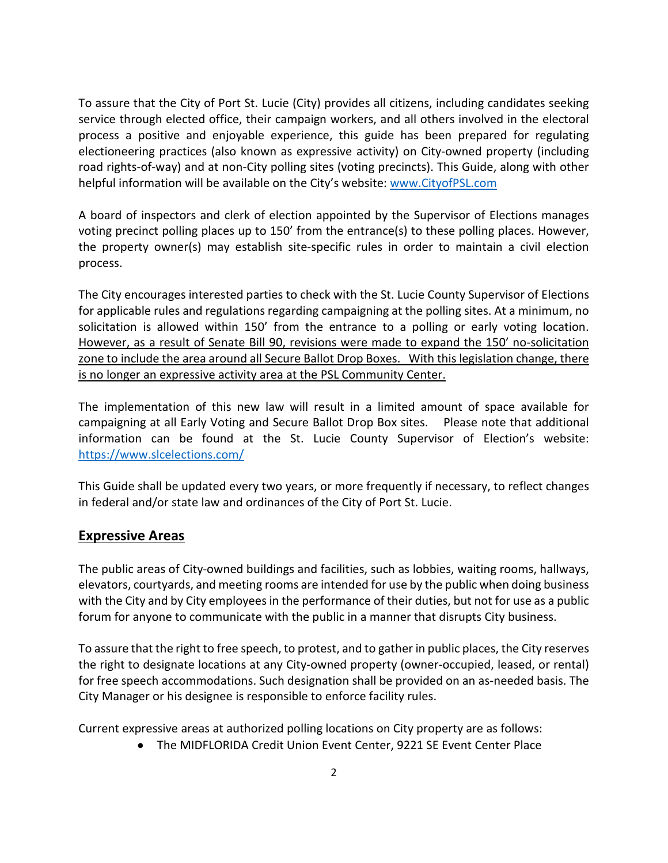To assure that the City of Port St. Lucie (City) provides all citizens, including candidates seeking service through elected office, their campaign workers, and all others involved in the electoral process a positive and enjoyable experience, this guide has been prepared for regulating electioneering practices (also known as expressive activity) on City-owned property (including road rights-of-way) and at non-City polling sites (voting precincts). This Guide, along with other helpful information will be available on the City's website: [www.CityofPSL.com](http://www.cityofpsl.com/)

A board of inspectors and clerk of election appointed by the Supervisor of Elections manages voting precinct polling places up to 150' from the entrance(s) to these polling places. However, the property owner(s) may establish site-specific rules in order to maintain a civil election process.

The City encourages interested parties to check with the St. Lucie County Supervisor of Elections for applicable rules and regulations regarding campaigning at the polling sites. At a minimum, no solicitation is allowed within 150' from the entrance to a polling or early voting location. However, as a result of Senate Bill 90, revisions were made to expand the 150' no-solicitation zone to include the area around all Secure Ballot Drop Boxes. With this legislation change, there is no longer an expressive activity area at the PSL Community Center.

The implementation of this new law will result in a limited amount of space available for campaigning at all Early Voting and Secure Ballot Drop Box sites. Please note that additional information can be found at the St. Lucie County Supervisor of Election's website: <https://www.slcelections.com/>

This Guide shall be updated every two years, or more frequently if necessary, to reflect changes in federal and/or state law and ordinances of the City of Port St. Lucie.

### **Expressive Areas**

The public areas of City-owned buildings and facilities, such as lobbies, waiting rooms, hallways, elevators, courtyards, and meeting rooms are intended for use by the public when doing business with the City and by City employees in the performance of their duties, but not for use as a public forum for anyone to communicate with the public in a manner that disrupts City business.

To assure that the right to free speech, to protest, and to gather in public places, the City reserves the right to designate locations at any City-owned property (owner-occupied, leased, or rental) for free speech accommodations. Such designation shall be provided on an as-needed basis. The City Manager or his designee is responsible to enforce facility rules.

Current expressive areas at authorized polling locations on City property are as follows:

• The MIDFLORIDA Credit Union Event Center, 9221 SE Event Center Place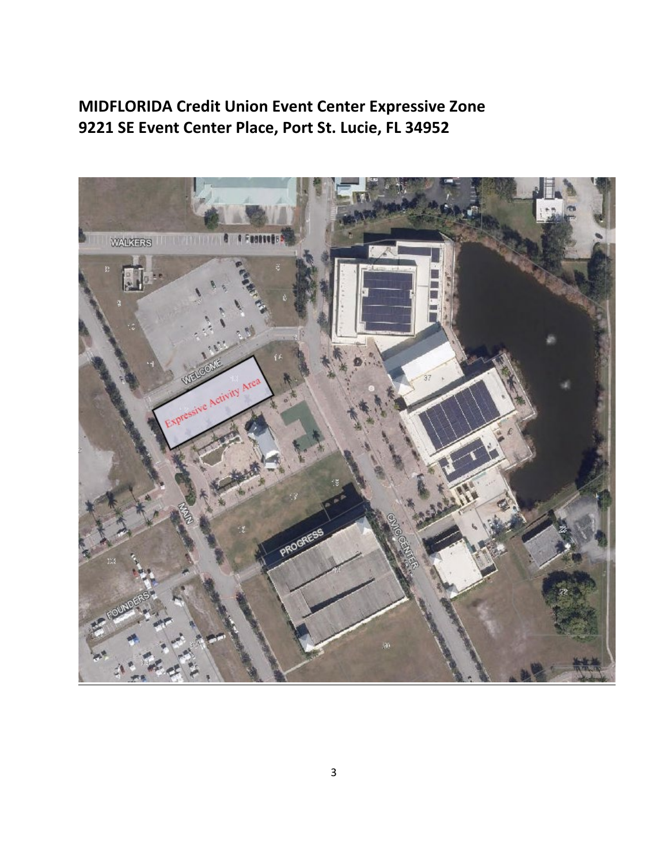# **MIDFLORIDA Credit Union Event Center Expressive Zone 9221 SE Event Center Place, Port St. Lucie, FL 34952**

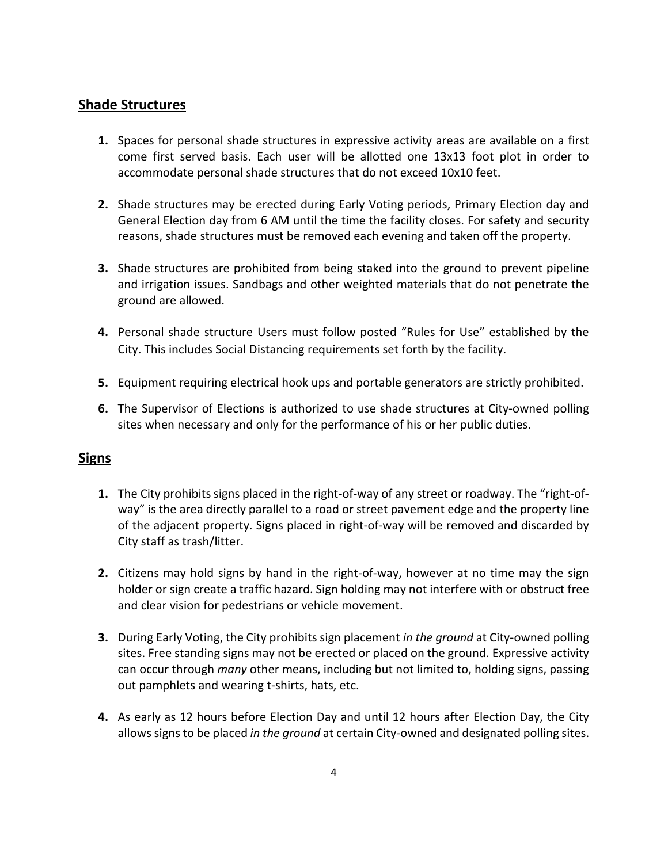#### **Shade Structures**

- **1.** Spaces for personal shade structures in expressive activity areas are available on a first come first served basis. Each user will be allotted one 13x13 foot plot in order to accommodate personal shade structures that do not exceed 10x10 feet.
- **2.** Shade structures may be erected during Early Voting periods, Primary Election day and General Election day from 6 AM until the time the facility closes. For safety and security reasons, shade structures must be removed each evening and taken off the property.
- **3.** Shade structures are prohibited from being staked into the ground to prevent pipeline and irrigation issues. Sandbags and other weighted materials that do not penetrate the ground are allowed.
- **4.** Personal shade structure Users must follow posted "Rules for Use" established by the City. This includes Social Distancing requirements set forth by the facility.
- **5.** Equipment requiring electrical hook ups and portable generators are strictly prohibited.
- **6.** The Supervisor of Elections is authorized to use shade structures at City-owned polling sites when necessary and only for the performance of his or her public duties.

#### **Signs**

- **1.** The City prohibits signs placed in the right-of-way of any street or roadway. The "right-ofway" is the area directly parallel to a road or street pavement edge and the property line of the adjacent property. Signs placed in right-of-way will be removed and discarded by City staff as trash/litter.
- **2.** Citizens may hold signs by hand in the right-of-way, however at no time may the sign holder or sign create a traffic hazard. Sign holding may not interfere with or obstruct free and clear vision for pedestrians or vehicle movement.
- **3.** During Early Voting, the City prohibits sign placement *in the ground* at City-owned polling sites. Free standing signs may not be erected or placed on the ground. Expressive activity can occur through *many* other means, including but not limited to, holding signs, passing out pamphlets and wearing t-shirts, hats, etc.
- **4.** As early as 12 hours before Election Day and until 12 hours after Election Day, the City allows signs to be placed *in the ground* at certain City-owned and designated polling sites.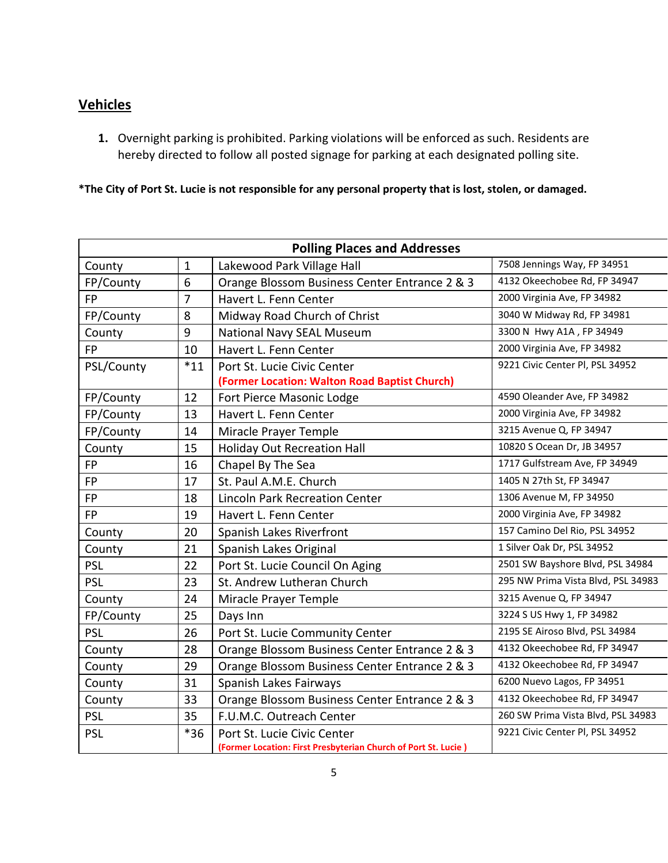## **Vehicles**

**1.** Overnight parking is prohibited. Parking violations will be enforced as such. Residents are hereby directed to follow all posted signage for parking at each designated polling site.

**\*The City of Port St. Lucie is not responsible for any personal property that is lost, stolen, or damaged.**

| <b>Polling Places and Addresses</b> |                |                                                                                                                 |                                    |  |  |
|-------------------------------------|----------------|-----------------------------------------------------------------------------------------------------------------|------------------------------------|--|--|
| County                              | $\mathbf{1}$   | Lakewood Park Village Hall                                                                                      | 7508 Jennings Way, FP 34951        |  |  |
| FP/County                           | 6              | Orange Blossom Business Center Entrance 2 & 3                                                                   | 4132 Okeechobee Rd, FP 34947       |  |  |
| <b>FP</b>                           | $\overline{7}$ | Havert L. Fenn Center                                                                                           | 2000 Virginia Ave, FP 34982        |  |  |
| FP/County                           | 8              | Midway Road Church of Christ                                                                                    | 3040 W Midway Rd, FP 34981         |  |  |
| County                              | 9              | National Navy SEAL Museum                                                                                       | 3300 N Hwy A1A, FP 34949           |  |  |
| <b>FP</b>                           | 10             | 2000 Virginia Ave, FP 34982<br>Havert L. Fenn Center                                                            |                                    |  |  |
| PSL/County                          | $*11$          | 9221 Civic Center Pl, PSL 34952<br>Port St. Lucie Civic Center<br>(Former Location: Walton Road Baptist Church) |                                    |  |  |
| FP/County                           | 12             | Fort Pierce Masonic Lodge                                                                                       | 4590 Oleander Ave, FP 34982        |  |  |
| FP/County                           | 13             | Havert L. Fenn Center                                                                                           | 2000 Virginia Ave, FP 34982        |  |  |
| FP/County                           | 14             | Miracle Prayer Temple                                                                                           | 3215 Avenue Q, FP 34947            |  |  |
| County                              | 15             | <b>Holiday Out Recreation Hall</b>                                                                              | 10820 S Ocean Dr, JB 34957         |  |  |
| <b>FP</b>                           | 16             | Chapel By The Sea                                                                                               | 1717 Gulfstream Ave, FP 34949      |  |  |
| <b>FP</b>                           | 17             | St. Paul A.M.E. Church                                                                                          | 1405 N 27th St, FP 34947           |  |  |
| <b>FP</b>                           | 18             | <b>Lincoln Park Recreation Center</b>                                                                           | 1306 Avenue M, FP 34950            |  |  |
| <b>FP</b>                           | 19             | Havert L. Fenn Center                                                                                           | 2000 Virginia Ave, FP 34982        |  |  |
| County                              | 20             | Spanish Lakes Riverfront                                                                                        | 157 Camino Del Rio, PSL 34952      |  |  |
| County                              | 21             | 1 Silver Oak Dr, PSL 34952<br>Spanish Lakes Original                                                            |                                    |  |  |
| <b>PSL</b>                          | 22             | 2501 SW Bayshore Blvd, PSL 34984<br>Port St. Lucie Council On Aging                                             |                                    |  |  |
| <b>PSL</b>                          | 23             | 295 NW Prima Vista Blvd, PSL 34983<br>St. Andrew Lutheran Church                                                |                                    |  |  |
| County                              | 24             | Miracle Prayer Temple                                                                                           | 3215 Avenue Q, FP 34947            |  |  |
| FP/County                           | 25             | Days Inn                                                                                                        | 3224 S US Hwy 1, FP 34982          |  |  |
| <b>PSL</b>                          | 26             | Port St. Lucie Community Center                                                                                 | 2195 SE Airoso Blvd, PSL 34984     |  |  |
| County                              | 28             | 4132 Okeechobee Rd, FP 34947<br>Orange Blossom Business Center Entrance 2 & 3                                   |                                    |  |  |
| County                              | 29             | 4132 Okeechobee Rd, FP 34947<br>Orange Blossom Business Center Entrance 2 & 3                                   |                                    |  |  |
| County                              | 31             | 6200 Nuevo Lagos, FP 34951<br>Spanish Lakes Fairways                                                            |                                    |  |  |
| County                              | 33             | 4132 Okeechobee Rd, FP 34947<br>Orange Blossom Business Center Entrance 2 & 3                                   |                                    |  |  |
| <b>PSL</b>                          | 35             | F.U.M.C. Outreach Center                                                                                        | 260 SW Prima Vista Blvd, PSL 34983 |  |  |
| <b>PSL</b>                          | $*36$          | Port St. Lucie Civic Center<br>(Former Location: First Presbyterian Church of Port St. Lucie)                   | 9221 Civic Center Pl, PSL 34952    |  |  |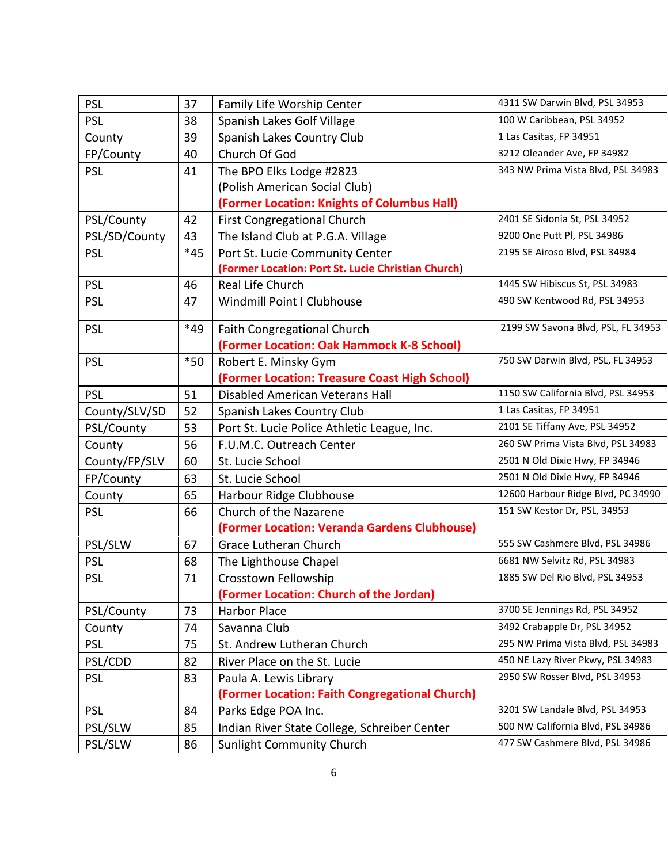| <b>PSL</b>    | 37                                       | Family Life Worship Center                                       | 4311 SW Darwin Blvd, PSL 34953     |  |
|---------------|------------------------------------------|------------------------------------------------------------------|------------------------------------|--|
| <b>PSL</b>    | 38                                       | Spanish Lakes Golf Village                                       | 100 W Caribbean, PSL 34952         |  |
| County        | 39                                       | Spanish Lakes Country Club                                       | 1 Las Casitas, FP 34951            |  |
| FP/County     | 40                                       | Church Of God                                                    | 3212 Oleander Ave, FP 34982        |  |
| <b>PSL</b>    | 41                                       | The BPO Elks Lodge #2823                                         | 343 NW Prima Vista Blvd, PSL 34983 |  |
|               |                                          | (Polish American Social Club)                                    |                                    |  |
|               |                                          | (Former Location: Knights of Columbus Hall)                      |                                    |  |
| PSL/County    | 42                                       | <b>First Congregational Church</b>                               | 2401 SE Sidonia St, PSL 34952      |  |
| PSL/SD/County | 43                                       | The Island Club at P.G.A. Village                                | 9200 One Putt Pl, PSL 34986        |  |
| <b>PSL</b>    | $*45$<br>Port St. Lucie Community Center |                                                                  | 2195 SE Airoso Blvd, PSL 34984     |  |
|               |                                          | (Former Location: Port St. Lucie Christian Church)               |                                    |  |
| <b>PSL</b>    | 46                                       | Real Life Church                                                 | 1445 SW Hibiscus St, PSL 34983     |  |
| <b>PSL</b>    | 47                                       | Windmill Point I Clubhouse<br>490 SW Kentwood Rd, PSL 34953      |                                    |  |
| <b>PSL</b>    | $*49$                                    | <b>Faith Congregational Church</b>                               | 2199 SW Savona Blvd, PSL, FL 34953 |  |
|               |                                          | (Former Location: Oak Hammock K-8 School)                        |                                    |  |
| <b>PSL</b>    | $*50$                                    | Robert E. Minsky Gym                                             | 750 SW Darwin Blvd, PSL, FL 34953  |  |
|               |                                          | (Former Location: Treasure Coast High School)                    |                                    |  |
| <b>PSL</b>    | 51                                       | Disabled American Veterans Hall                                  | 1150 SW California Blvd, PSL 34953 |  |
| County/SLV/SD | 52                                       | Spanish Lakes Country Club                                       | 1 Las Casitas, FP 34951            |  |
| PSL/County    | 53                                       | Port St. Lucie Police Athletic League, Inc.                      | 2101 SE Tiffany Ave, PSL 34952     |  |
| County        | 56                                       | F.U.M.C. Outreach Center                                         | 260 SW Prima Vista Blvd, PSL 34983 |  |
| County/FP/SLV | 60                                       | St. Lucie School                                                 | 2501 N Old Dixie Hwy, FP 34946     |  |
| FP/County     | 63                                       | St. Lucie School                                                 | 2501 N Old Dixie Hwy, FP 34946     |  |
| County        | 65                                       | Harbour Ridge Clubhouse                                          | 12600 Harbour Ridge Blvd, PC 34990 |  |
| <b>PSL</b>    | 66                                       | Church of the Nazarene                                           | 151 SW Kestor Dr, PSL, 34953       |  |
|               |                                          | (Former Location: Veranda Gardens Clubhouse)                     |                                    |  |
| PSL/SLW       | 67                                       | <b>Grace Lutheran Church</b>                                     | 555 SW Cashmere Blvd, PSL 34986    |  |
| <b>PSL</b>    | 68                                       | The Lighthouse Chapel                                            | 6681 NW Selvitz Rd, PSL 34983      |  |
| <b>PSL</b>    | 71                                       | Crosstown Fellowship                                             | 1885 SW Del Rio Blvd, PSL 34953    |  |
|               |                                          | (Former Location: Church of the Jordan)                          |                                    |  |
| PSL/County    | 73                                       | Harbor Place                                                     | 3700 SE Jennings Rd, PSL 34952     |  |
| County        | 74                                       | Savanna Club                                                     | 3492 Crabapple Dr, PSL 34952       |  |
| <b>PSL</b>    | 75                                       | 295 NW Prima Vista Blvd, PSL 34983<br>St. Andrew Lutheran Church |                                    |  |
| PSL/CDD       | 82                                       | River Place on the St. Lucie                                     | 450 NE Lazy River Pkwy, PSL 34983  |  |
| <b>PSL</b>    | 83                                       | Paula A. Lewis Library                                           | 2950 SW Rosser Blvd, PSL 34953     |  |
|               |                                          | (Former Location: Faith Congregational Church)                   |                                    |  |
| <b>PSL</b>    | 84                                       | Parks Edge POA Inc.                                              | 3201 SW Landale Blvd, PSL 34953    |  |
| PSL/SLW       | 85                                       | Indian River State College, Schreiber Center                     | 500 NW California Blvd, PSL 34986  |  |
| PSL/SLW       | 86                                       | Sunlight Community Church                                        | 477 SW Cashmere Blvd, PSL 34986    |  |